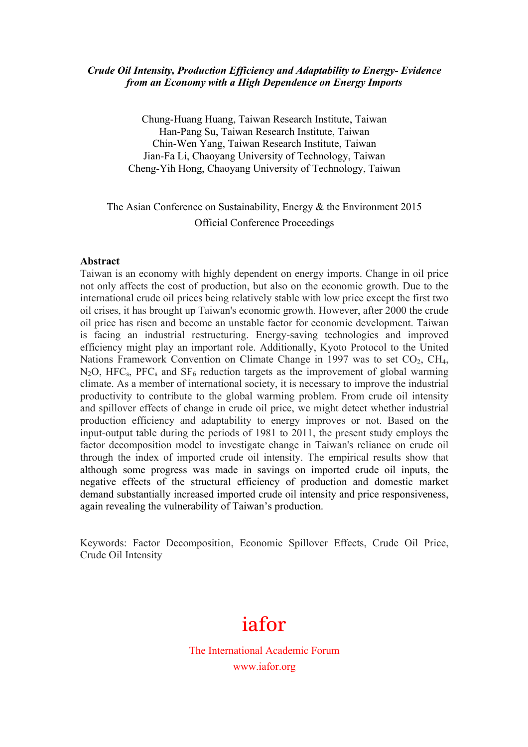### *Crude Oil Intensity, Production Efficiency and Adaptability to Energy- Evidence from an Economy with a High Dependence on Energy Imports*

Chung-Huang Huang, Taiwan Research Institute, Taiwan Han-Pang Su, Taiwan Research Institute, Taiwan Chin-Wen Yang, Taiwan Research Institute, Taiwan Jian-Fa Li, Chaoyang University of Technology, Taiwan Cheng-Yih Hong, Chaoyang University of Technology, Taiwan

# The Asian Conference on Sustainability, Energy & the Environment 2015 Official Conference Proceedings

#### **Abstract**

Taiwan is an economy with highly dependent on energy imports. Change in oil price not only affects the cost of production, but also on the economic growth. Due to the international crude oil prices being relatively stable with low price except the first two oil crises, it has brought up Taiwan's economic growth. However, after 2000 the crude oil price has risen and become an unstable factor for economic development. Taiwan is facing an industrial restructuring. Energy-saving technologies and improved efficiency might play an important role. Additionally, Kyoto Protocol to the United Nations Framework Convention on Climate Change in 1997 was to set  $CO<sub>2</sub>$ , CH<sub>4</sub>,  $N_2O$ , HFC<sub>s</sub>, PFC<sub>s</sub> and SF<sub>6</sub> reduction targets as the improvement of global warming climate. As a member of international society, it is necessary to improve the industrial productivity to contribute to the global warming problem. From crude oil intensity and spillover effects of change in crude oil price, we might detect whether industrial production efficiency and adaptability to energy improves or not. Based on the input-output table during the periods of 1981 to 2011, the present study employs the factor decomposition model to investigate change in Taiwan's reliance on crude oil through the index of imported crude oil intensity. The empirical results show that although some progress was made in savings on imported crude oil inputs, the negative effects of the structural efficiency of production and domestic market demand substantially increased imported crude oil intensity and price responsiveness, again revealing the vulnerability of Taiwan's production.

Keywords: Factor Decomposition, Economic Spillover Effects, Crude Oil Price, Crude Oil Intensity

# iafor

The International Academic Forum www.iafor.org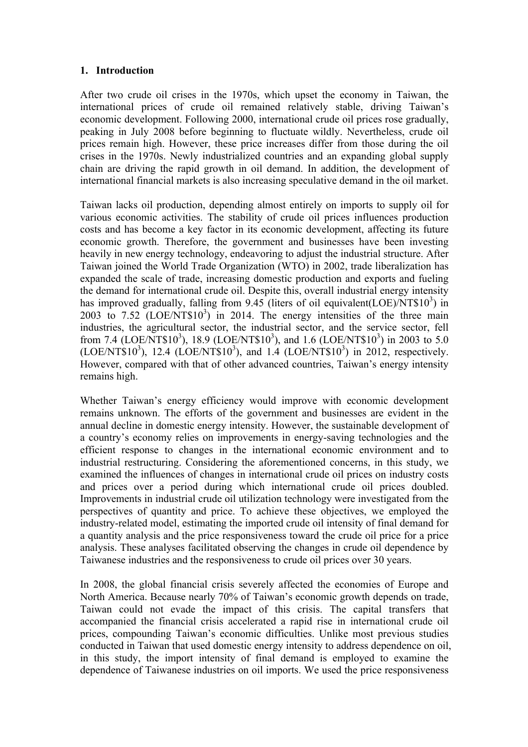#### **1. Introduction**

After two crude oil crises in the 1970s, which upset the economy in Taiwan, the international prices of crude oil remained relatively stable, driving Taiwan's economic development. Following 2000, international crude oil prices rose gradually, peaking in July 2008 before beginning to fluctuate wildly. Nevertheless, crude oil prices remain high. However, these price increases differ from those during the oil crises in the 1970s. Newly industrialized countries and an expanding global supply chain are driving the rapid growth in oil demand. In addition, the development of international financial markets is also increasing speculative demand in the oil market.

Taiwan lacks oil production, depending almost entirely on imports to supply oil for various economic activities. The stability of crude oil prices influences production costs and has become a key factor in its economic development, affecting its future economic growth. Therefore, the government and businesses have been investing heavily in new energy technology, endeavoring to adjust the industrial structure. After Taiwan joined the World Trade Organization (WTO) in 2002, trade liberalization has expanded the scale of trade, increasing domestic production and exports and fueling the demand for international crude oil. Despite this, overall industrial energy intensity has improved gradually, falling from  $9.45$  (liters of oil equivalent(LOE)/NT\$10<sup>3</sup>) in 2003 to  $7.52$   $(LOE/NT$10<sup>3</sup>)$  in 2014. The energy intensities of the three main industries, the agricultural sector, the industrial sector, and the service sector, fell from 7.4 (LOE/NT\$10<sup>3</sup>), 18.9 (LOE/NT\$10<sup>3</sup>), and 1.6 (LOE/NT\$10<sup>3</sup>) in 2003 to 5.0  $(LOE/NT$10<sup>3</sup>)$ , 12.4  $(LOE/NT$10<sup>3</sup>)$ , and 1.4  $(LOE/NT$10<sup>3</sup>)$  in 2012, respectively. However, compared with that of other advanced countries, Taiwan's energy intensity remains high.

Whether Taiwan's energy efficiency would improve with economic development remains unknown. The efforts of the government and businesses are evident in the annual decline in domestic energy intensity. However, the sustainable development of a country's economy relies on improvements in energy-saving technologies and the efficient response to changes in the international economic environment and to industrial restructuring. Considering the aforementioned concerns, in this study, we examined the influences of changes in international crude oil prices on industry costs and prices over a period during which international crude oil prices doubled. Improvements in industrial crude oil utilization technology were investigated from the perspectives of quantity and price. To achieve these objectives, we employed the industry-related model, estimating the imported crude oil intensity of final demand for a quantity analysis and the price responsiveness toward the crude oil price for a price analysis. These analyses facilitated observing the changes in crude oil dependence by Taiwanese industries and the responsiveness to crude oil prices over 30 years.

In 2008, the global financial crisis severely affected the economies of Europe and North America. Because nearly 70% of Taiwan's economic growth depends on trade, Taiwan could not evade the impact of this crisis. The capital transfers that accompanied the financial crisis accelerated a rapid rise in international crude oil prices, compounding Taiwan's economic difficulties. Unlike most previous studies conducted in Taiwan that used domestic energy intensity to address dependence on oil, in this study, the import intensity of final demand is employed to examine the dependence of Taiwanese industries on oil imports. We used the price responsiveness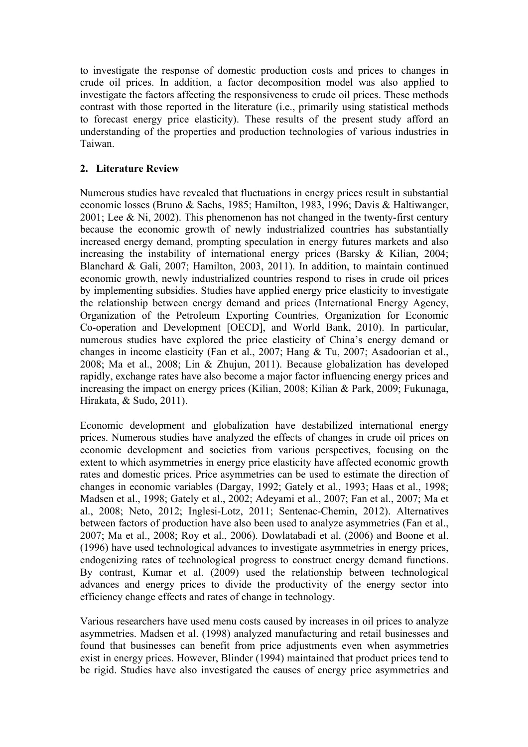to investigate the response of domestic production costs and prices to changes in crude oil prices. In addition, a factor decomposition model was also applied to investigate the factors affecting the responsiveness to crude oil prices. These methods contrast with those reported in the literature (i.e., primarily using statistical methods to forecast energy price elasticity). These results of the present study afford an understanding of the properties and production technologies of various industries in Taiwan.

# **2. Literature Review**

Numerous studies have revealed that fluctuations in energy prices result in substantial economic losses (Bruno & Sachs, 1985; Hamilton, 1983, 1996; Davis & Haltiwanger, 2001; Lee & Ni, 2002). This phenomenon has not changed in the twenty-first century because the economic growth of newly industrialized countries has substantially increased energy demand, prompting speculation in energy futures markets and also increasing the instability of international energy prices (Barsky & Kilian, 2004; Blanchard & Gali, 2007; Hamilton, 2003, 2011). In addition, to maintain continued economic growth, newly industrialized countries respond to rises in crude oil prices by implementing subsidies. Studies have applied energy price elasticity to investigate the relationship between energy demand and prices (International Energy Agency, Organization of the Petroleum Exporting Countries, Organization for Economic Co-operation and Development [OECD], and World Bank, 2010). In particular, numerous studies have explored the price elasticity of China's energy demand or changes in income elasticity (Fan et al., 2007; Hang & Tu, 2007; Asadoorian et al., 2008; Ma et al., 2008; Lin & Zhujun, 2011). Because globalization has developed rapidly, exchange rates have also become a major factor influencing energy prices and increasing the impact on energy prices (Kilian, 2008; Kilian & Park, 2009; Fukunaga, Hirakata, & Sudo, 2011).

Economic development and globalization have destabilized international energy prices. Numerous studies have analyzed the effects of changes in crude oil prices on economic development and societies from various perspectives, focusing on the extent to which asymmetries in energy price elasticity have affected economic growth rates and domestic prices. Price asymmetries can be used to estimate the direction of changes in economic variables (Dargay, 1992; Gately et al., 1993; Haas et al., 1998; Madsen et al., 1998; Gately et al., 2002; Adeyami et al., 2007; Fan et al., 2007; Ma et al., 2008; Neto, 2012; Inglesi-Lotz, 2011; Sentenac-Chemin, 2012). Alternatives between factors of production have also been used to analyze asymmetries (Fan et al., 2007; Ma et al., 2008; Roy et al., 2006). Dowlatabadi et al. (2006) and Boone et al. (1996) have used technological advances to investigate asymmetries in energy prices, endogenizing rates of technological progress to construct energy demand functions. By contrast, Kumar et al. (2009) used the relationship between technological advances and energy prices to divide the productivity of the energy sector into efficiency change effects and rates of change in technology.

Various researchers have used menu costs caused by increases in oil prices to analyze asymmetries. Madsen et al. (1998) analyzed manufacturing and retail businesses and found that businesses can benefit from price adjustments even when asymmetries exist in energy prices. However, Blinder (1994) maintained that product prices tend to be rigid. Studies have also investigated the causes of energy price asymmetries and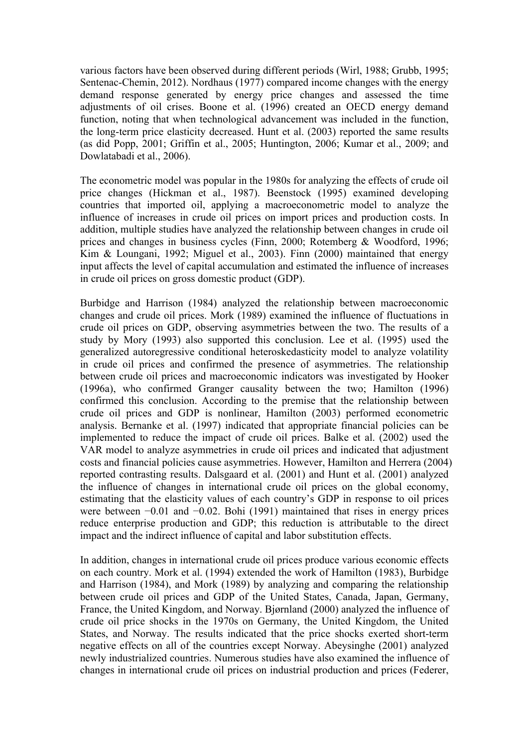various factors have been observed during different periods (Wirl, 1988; Grubb, 1995; Sentenac-Chemin, 2012). Nordhaus (1977) compared income changes with the energy demand response generated by energy price changes and assessed the time adjustments of oil crises. Boone et al. (1996) created an OECD energy demand function, noting that when technological advancement was included in the function, the long-term price elasticity decreased. Hunt et al. (2003) reported the same results (as did Popp, 2001; Griffin et al., 2005; Huntington, 2006; Kumar et al., 2009; and Dowlatabadi et al., 2006).

The econometric model was popular in the 1980s for analyzing the effects of crude oil price changes (Hickman et al., 1987). Beenstock (1995) examined developing countries that imported oil, applying a macroeconometric model to analyze the influence of increases in crude oil prices on import prices and production costs. In addition, multiple studies have analyzed the relationship between changes in crude oil prices and changes in business cycles (Finn, 2000; Rotemberg & Woodford, 1996; Kim & Loungani, 1992; Miguel et al., 2003). Finn (2000) maintained that energy input affects the level of capital accumulation and estimated the influence of increases in crude oil prices on gross domestic product (GDP).

Burbidge and Harrison (1984) analyzed the relationship between macroeconomic changes and crude oil prices. Mork (1989) examined the influence of fluctuations in crude oil prices on GDP, observing asymmetries between the two. The results of a study by Mory (1993) also supported this conclusion. Lee et al. (1995) used the generalized autoregressive conditional heteroskedasticity model to analyze volatility in crude oil prices and confirmed the presence of asymmetries. The relationship between crude oil prices and macroeconomic indicators was investigated by Hooker (1996a), who confirmed Granger causality between the two; Hamilton (1996) confirmed this conclusion. According to the premise that the relationship between crude oil prices and GDP is nonlinear, Hamilton (2003) performed econometric analysis. Bernanke et al. (1997) indicated that appropriate financial policies can be implemented to reduce the impact of crude oil prices. Balke et al. (2002) used the VAR model to analyze asymmetries in crude oil prices and indicated that adjustment costs and financial policies cause asymmetries. However, Hamilton and Herrera (2004) reported contrasting results. Dalsgaard et al. (2001) and Hunt et al. (2001) analyzed the influence of changes in international crude oil prices on the global economy, estimating that the elasticity values of each country's GDP in response to oil prices were between −0.01 and −0.02. Bohi (1991) maintained that rises in energy prices reduce enterprise production and GDP; this reduction is attributable to the direct impact and the indirect influence of capital and labor substitution effects.

In addition, changes in international crude oil prices produce various economic effects on each country. Mork et al. (1994) extended the work of Hamilton (1983), Burbidge and Harrison (1984), and Mork (1989) by analyzing and comparing the relationship between crude oil prices and GDP of the United States, Canada, Japan, Germany, France, the United Kingdom, and Norway. Bjørnland (2000) analyzed the influence of crude oil price shocks in the 1970s on Germany, the United Kingdom, the United States, and Norway. The results indicated that the price shocks exerted short-term negative effects on all of the countries except Norway. Abeysinghe (2001) analyzed newly industrialized countries. Numerous studies have also examined the influence of changes in international crude oil prices on industrial production and prices (Federer,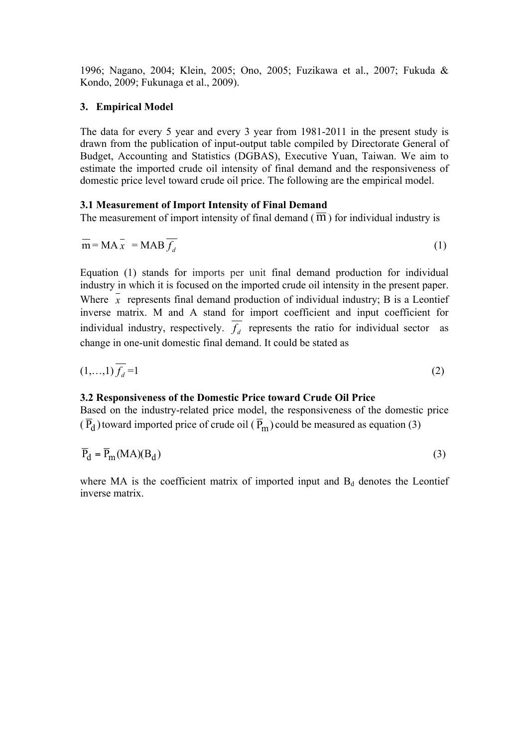1996; Nagano, 2004; Klein, 2005; Ono, 2005; Fuzikawa et al., 2007; Fukuda & Kondo, 2009; Fukunaga et al., 2009).

# **3. Empirical Model**

The data for every 5 year and every 3 year from 1981-2011 in the present study is drawn from the publication of input-output table compiled by Directorate General of Budget, Accounting and Statistics (DGBAS), Executive Yuan, Taiwan. We aim to estimate the imported crude oil intensity of final demand and the responsiveness of domestic price level toward crude oil price. The following are the empirical model.

## **3.1 Measurement of Import Intensity of Final Demand**

The measurement of import intensity of final demand  $(\overline{m})$  for individual industry is

$$
\overline{\mathbf{m}} = \mathbf{M} \mathbf{A} \overline{\mathbf{x}} = \mathbf{M} \mathbf{A} \mathbf{B} \overline{f_d} \tag{1}
$$

Equation (1) stands for imports per unit final demand production for individual industry in which it is focused on the imported crude oil intensity in the present paper. Where  $\bar{x}$  represents final demand production of individual industry; B is a Leontief inverse matrix. M and A stand for import coefficient and input coefficient for individual industry, respectively.  $\overline{f}_d$  represents the ratio for individual sector as change in one-unit domestic final demand. It could be stated as

$$
(1,\ldots,1)\overline{f_d} = 1\tag{2}
$$

#### **3.2 Responsiveness of the Domestic Price toward Crude Oil Price**

Based on the industry-related price model, the responsiveness of the domestic price  $(\overline{P}_d)$  toward imported price of crude oil  $(\overline{P}_m)$  could be measured as equation (3)

$$
\overline{P}_d = \overline{P}_m(MA)(B_d) \tag{3}
$$

where MA is the coefficient matrix of imported input and  $B_d$  denotes the Leontief inverse matrix.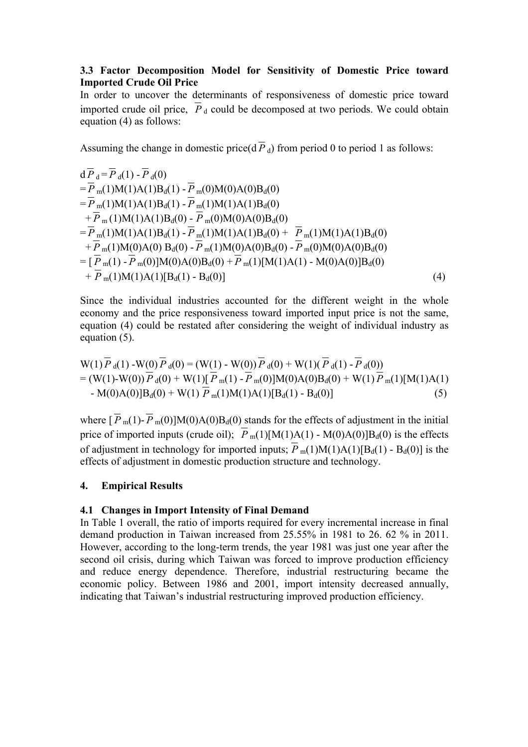## **3.3 Factor Decomposition Model for Sensitivity of Domestic Price toward Imported Crude Oil Price**

In order to uncover the determinants of responsiveness of domestic price toward imported crude oil price,  $\overline{P}_d$  could be decomposed at two periods. We could obtain equation (4) as follows:

Assuming the change in domestic price( $d \overline{P}_d$ ) from period 0 to period 1 as follows:

$$
d\overline{P}_{d} = \overline{P}_{d}(1) - \overline{P}_{d}(0)
$$
  
\n
$$
= \overline{P}_{m}(1)M(1)A(1)B_{d}(1) - \overline{P}_{m}(0)M(0)A(0)B_{d}(0)
$$
  
\n
$$
= \overline{P}_{m}(1)M(1)A(1)B_{d}(1) - \overline{P}_{m}(1)M(1)A(1)B_{d}(0)
$$
  
\n
$$
+ \overline{P}_{m}(1)M(1)A(1)B_{d}(0) - \overline{P}_{m}(0)M(0)A(0)B_{d}(0)
$$
  
\n
$$
= \overline{P}_{m}(1)M(1)A(1)B_{d}(1) - \overline{P}_{m}(1)M(1)A(1)B_{d}(0) + \overline{P}_{m}(1)M(1)A(1)B_{d}(0)
$$
  
\n
$$
+ \overline{P}_{m}(1)M(0)A(0)B_{d}(0) - \overline{P}_{m}(1)M(0)A(0)B_{d}(0) - \overline{P}_{m}(0)M(0)A(0)B_{d}(0)
$$
  
\n
$$
= [\overline{P}_{m}(1) - \overline{P}_{m}(0)]M(0)A(0)B_{d}(0) + \overline{P}_{m}(1)[M(1)A(1) - M(0)A(0)]B_{d}(0)
$$
  
\n
$$
+ \overline{P}_{m}(1)M(1)A(1)[B_{d}(1) - B_{d}(0)]
$$
  
\n(4)

Since the individual industries accounted for the different weight in the whole economy and the price responsiveness toward imported input price is not the same, equation (4) could be restated after considering the weight of individual industry as equation (5).

$$
W(1)\overline{P}_{d}(1) - W(0)\overline{P}_{d}(0) = (W(1) - W(0))\overline{P}_{d}(0) + W(1)(\overline{P}_{d}(1) - \overline{P}_{d}(0))
$$
  
= (W(1)-W(0))\overline{P}\_{d}(0) + W(1)[\overline{P}\_{m}(1) - \overline{P}\_{m}(0)]M(0)A(0)B\_{d}(0) + W(1)\overline{P}\_{m}(1)[M(1)A(1)  
- M(0)A(0)]B\_{d}(0) + W(1)\overline{P}\_{m}(1)M(1)A(1)[B\_{d}(1) - B\_{d}(0)] (5)

where  $\left[\overline{P}_{m}(1)-\overline{P}_{m}(0)\right]M(0)A(0)B_{d}(0)$  stands for the effects of adjustment in the initial price of imported inputs (crude oil);  $\overline{P}_{m}(1)[M(1)A(1) - M(0)A(0)]B_{d}(0)$  is the effects of adjustment in technology for imported inputs;  $P_m(1)M(1)A(1)[B_d(1) - B_d(0)]$  is the effects of adjustment in domestic production structure and technology.

#### **4. Empirical Results**

#### **4.1 Changes in Import Intensity of Final Demand**

In Table 1 overall, the ratio of imports required for every incremental increase in final demand production in Taiwan increased from 25.55% in 1981 to 26. 62 % in 2011. However, according to the long-term trends, the year 1981 was just one year after the second oil crisis, during which Taiwan was forced to improve production efficiency and reduce energy dependence. Therefore, industrial restructuring became the economic policy. Between 1986 and 2001, import intensity decreased annually, indicating that Taiwan's industrial restructuring improved production efficiency.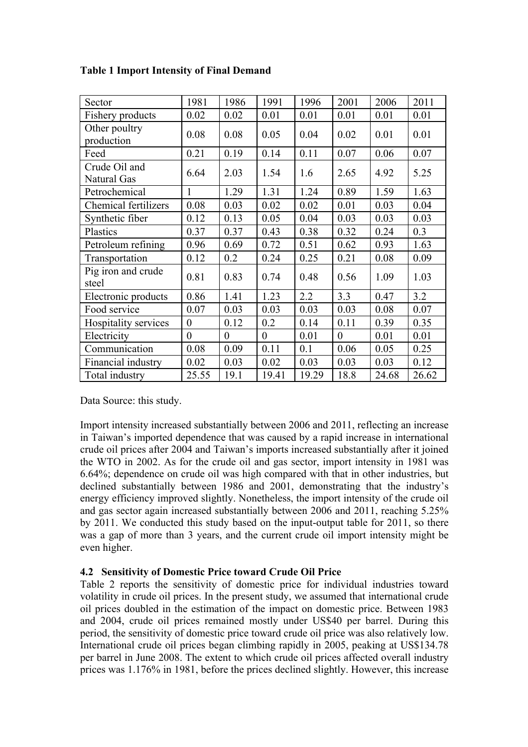| Sector                       | 1981           | 1986     | 1991     | 1996  | 2001     | 2006  | 2011  |
|------------------------------|----------------|----------|----------|-------|----------|-------|-------|
| Fishery products             | 0.02           | 0.02     | 0.01     | 0.01  | 0.01     | 0.01  | 0.01  |
| Other poultry<br>production  | 0.08           | 0.08     | 0.05     | 0.04  | 0.02     | 0.01  | 0.01  |
| Feed                         | 0.21           | 0.19     | 0.14     | 0.11  | 0.07     | 0.06  | 0.07  |
| Crude Oil and<br>Natural Gas | 6.64           | 2.03     | 1.54     | 1.6   | 2.65     | 4.92  | 5.25  |
| Petrochemical                | 1              | 1.29     | 1.31     | 1.24  | 0.89     | 1.59  | 1.63  |
| Chemical fertilizers         | 0.08           | 0.03     | 0.02     | 0.02  | 0.01     | 0.03  | 0.04  |
| Synthetic fiber              | 0.12           | 0.13     | 0.05     | 0.04  | 0.03     | 0.03  | 0.03  |
| Plastics                     | 0.37           | 0.37     | 0.43     | 0.38  | 0.32     | 0.24  | 0.3   |
| Petroleum refining           | 0.96           | 0.69     | 0.72     | 0.51  | 0.62     | 0.93  | 1.63  |
| Transportation               | 0.12           | 0.2      | 0.24     | 0.25  | 0.21     | 0.08  | 0.09  |
| Pig iron and crude<br>steel  | 0.81           | 0.83     | 0.74     | 0.48  | 0.56     | 1.09  | 1.03  |
| Electronic products          | 0.86           | 1.41     | 1.23     | 2.2   | 3.3      | 0.47  | 3.2   |
| Food service                 | 0.07           | 0.03     | 0.03     | 0.03  | 0.03     | 0.08  | 0.07  |
| Hospitality services         | $\overline{0}$ | 0.12     | 0.2      | 0.14  | 0.11     | 0.39  | 0.35  |
| Electricity                  | $\theta$       | $\theta$ | $\theta$ | 0.01  | $\theta$ | 0.01  | 0.01  |
| Communication                | 0.08           | 0.09     | 0.11     | 0.1   | 0.06     | 0.05  | 0.25  |
| Financial industry           | 0.02           | 0.03     | 0.02     | 0.03  | 0.03     | 0.03  | 0.12  |
| Total industry               | 25.55          | 19.1     | 19.41    | 19.29 | 18.8     | 24.68 | 26.62 |

# **Table 1 Import Intensity of Final Demand**

Data Source: this study.

Import intensity increased substantially between 2006 and 2011, reflecting an increase in Taiwan's imported dependence that was caused by a rapid increase in international crude oil prices after 2004 and Taiwan's imports increased substantially after it joined the WTO in 2002. As for the crude oil and gas sector, import intensity in 1981 was 6.64%; dependence on crude oil was high compared with that in other industries, but declined substantially between 1986 and 2001, demonstrating that the industry's energy efficiency improved slightly. Nonetheless, the import intensity of the crude oil and gas sector again increased substantially between 2006 and 2011, reaching 5.25% by 2011. We conducted this study based on the input-output table for 2011, so there was a gap of more than 3 years, and the current crude oil import intensity might be even higher.

# **4.2 Sensitivity of Domestic Price toward Crude Oil Price**

Table 2 reports the sensitivity of domestic price for individual industries toward volatility in crude oil prices. In the present study, we assumed that international crude oil prices doubled in the estimation of the impact on domestic price. Between 1983 and 2004, crude oil prices remained mostly under US\$40 per barrel. During this period, the sensitivity of domestic price toward crude oil price was also relatively low. International crude oil prices began climbing rapidly in 2005, peaking at US\$134.78 per barrel in June 2008. The extent to which crude oil prices affected overall industry prices was 1.176% in 1981, before the prices declined slightly. However, this increase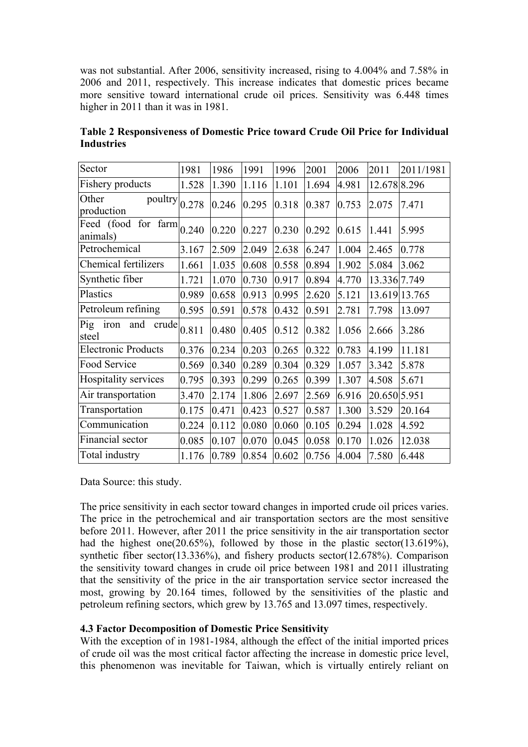was not substantial. After 2006, sensitivity increased, rising to 4.004% and 7.58% in 2006 and 2011, respectively. This increase indicates that domestic prices became more sensitive toward international crude oil prices. Sensitivity was 6.448 times higher in 2011 than it was in 1981.

| Sector                                                          | 1981  | 1986  | 1991  | 1996  | 2001  | 2006  | 2011         | 2011/1981     |
|-----------------------------------------------------------------|-------|-------|-------|-------|-------|-------|--------------|---------------|
| Fishery products                                                | 1.528 | 1.390 | 1.116 | 1.101 | 1.694 | 4.981 | 12.678 8.296 |               |
| Other<br>$\overline{\text{poultry}}\vert_{0.278}$<br>production |       | 0.246 | 0.295 | 0.318 | 0.387 | 0.753 | 2.075        | 7.471         |
| Freed (food for farm $0.240$<br>animals)                        |       | 0.220 | 0.227 | 0.230 | 0.292 | 0.615 | 1.441        | 5.995         |
| Petrochemical                                                   | 3.167 | 2.509 | 2.049 | 2.638 | 6.247 | 1.004 | 2.465        | 0.778         |
| <b>Chemical fertilizers</b>                                     | 1.661 | 1.035 | 0.608 | 0.558 | 0.894 | 1.902 | 5.084        | 3.062         |
| Synthetic fiber                                                 | 1.721 | 1.070 | 0.730 | 0.917 | 0.894 | 4.770 | 13.336 7.749 |               |
| Plastics                                                        | 0.989 | 0.658 | 0.913 | 0.995 | 2.620 | 5.121 |              | 13.619 13.765 |
| Petroleum refining                                              | 0.595 | 0.591 | 0.578 | 0.432 | 0.591 | 2.781 | 7.798        | 13.097        |
| Pig<br>and<br>iron<br>crude<br>steel                            | 0.811 | 0.480 | 0.405 | 0.512 | 0.382 | 1.056 | 2.666        | 3.286         |
| <b>Electronic Products</b>                                      | 0.376 | 0.234 | 0.203 | 0.265 | 0.322 | 0.783 | 4.199        | 11.181        |
| Food Service                                                    | 0.569 | 0.340 | 0.289 | 0.304 | 0.329 | 1.057 | 3.342        | 5.878         |
| Hospitality services                                            | 0.795 | 0.393 | 0.299 | 0.265 | 0.399 | 1.307 | 4.508        | 5.671         |
| Air transportation                                              | 3.470 | 2.174 | 1.806 | 2.697 | 2.569 | 6.916 | 20.650 5.951 |               |
| Transportation                                                  | 0.175 | 0.471 | 0.423 | 0.527 | 0.587 | 1.300 | 3.529        | 20.164        |
| Communication                                                   | 0.224 | 0.112 | 0.080 | 0.060 | 0.105 | 0.294 | 1.028        | 4.592         |
| Financial sector                                                | 0.085 | 0.107 | 0.070 | 0.045 | 0.058 | 0.170 | 1.026        | 12.038        |
| Total industry                                                  | 1.176 | 0.789 | 0.854 | 0.602 | 0.756 | 4.004 | 7.580        | 6.448         |

**Table 2 Responsiveness of Domestic Price toward Crude Oil Price for Individual Industries**

Data Source: this study.

The price sensitivity in each sector toward changes in imported crude oil prices varies. The price in the petrochemical and air transportation sectors are the most sensitive before 2011. However, after 2011 the price sensitivity in the air transportation sector had the highest one(20.65%), followed by those in the plastic sector(13.619%), synthetic fiber sector(13.336%), and fishery products sector(12.678%). Comparison the sensitivity toward changes in crude oil price between 1981 and 2011 illustrating that the sensitivity of the price in the air transportation service sector increased the most, growing by 20.164 times, followed by the sensitivities of the plastic and petroleum refining sectors, which grew by 13.765 and 13.097 times, respectively.

# **4.3 Factor Decomposition of Domestic Price Sensitivity**

With the exception of in 1981-1984, although the effect of the initial imported prices of crude oil was the most critical factor affecting the increase in domestic price level, this phenomenon was inevitable for Taiwan, which is virtually entirely reliant on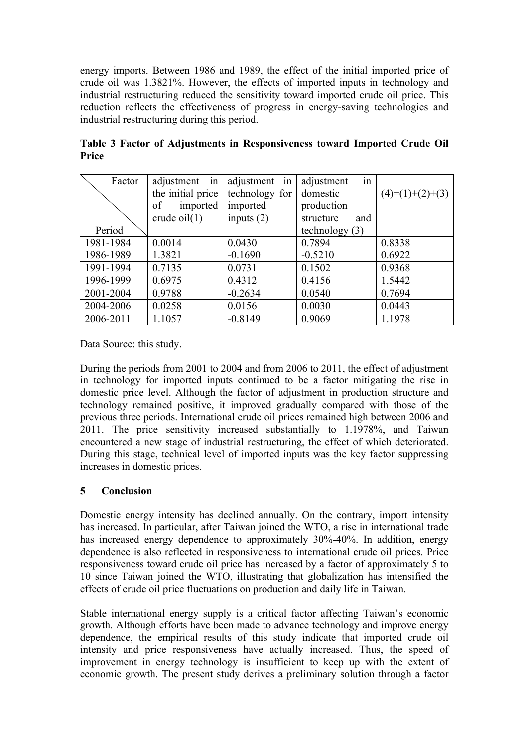energy imports. Between 1986 and 1989, the effect of the initial imported price of crude oil was 1.3821%. However, the effects of imported inputs in technology and industrial restructuring reduced the sensitivity toward imported crude oil price. This reduction reflects the effectiveness of progress in energy-saving technologies and industrial restructuring during this period.

| Factor    | adjustment in     | adjustment in  | in<br>adjustment |                   |
|-----------|-------------------|----------------|------------------|-------------------|
|           | the initial price | technology for | domestic         | $(4)=(1)+(2)+(3)$ |
|           | imported<br>of    | imported       | production       |                   |
|           | crude $oil(1)$    | inputs $(2)$   | structure<br>and |                   |
| Period    |                   |                | technology $(3)$ |                   |
| 1981-1984 | 0.0014            | 0.0430         | 0.7894           | 0.8338            |
| 1986-1989 | 1.3821            | $-0.1690$      | $-0.5210$        | 0.6922            |
| 1991-1994 | 0.7135            | 0.0731         | 0.1502           | 0.9368            |
| 1996-1999 | 0.6975            | 0.4312         | 0.4156           | 1.5442            |
| 2001-2004 | 0.9788            | $-0.2634$      | 0.0540           | 0.7694            |
| 2004-2006 | 0.0258            | 0.0156         | 0.0030           | 0.0443            |
| 2006-2011 | 1.1057            | $-0.8149$      | 0.9069           | 1.1978            |

**Table 3 Factor of Adjustments in Responsiveness toward Imported Crude Oil Price**

Data Source: this study.

During the periods from 2001 to 2004 and from 2006 to 2011, the effect of adjustment in technology for imported inputs continued to be a factor mitigating the rise in domestic price level. Although the factor of adjustment in production structure and technology remained positive, it improved gradually compared with those of the previous three periods. International crude oil prices remained high between 2006 and 2011. The price sensitivity increased substantially to 1.1978%, and Taiwan encountered a new stage of industrial restructuring, the effect of which deteriorated. During this stage, technical level of imported inputs was the key factor suppressing increases in domestic prices.

# **5 Conclusion**

Domestic energy intensity has declined annually. On the contrary, import intensity has increased. In particular, after Taiwan joined the WTO, a rise in international trade has increased energy dependence to approximately 30%-40%. In addition, energy dependence is also reflected in responsiveness to international crude oil prices. Price responsiveness toward crude oil price has increased by a factor of approximately 5 to 10 since Taiwan joined the WTO, illustrating that globalization has intensified the effects of crude oil price fluctuations on production and daily life in Taiwan.

Stable international energy supply is a critical factor affecting Taiwan's economic growth. Although efforts have been made to advance technology and improve energy dependence, the empirical results of this study indicate that imported crude oil intensity and price responsiveness have actually increased. Thus, the speed of improvement in energy technology is insufficient to keep up with the extent of economic growth. The present study derives a preliminary solution through a factor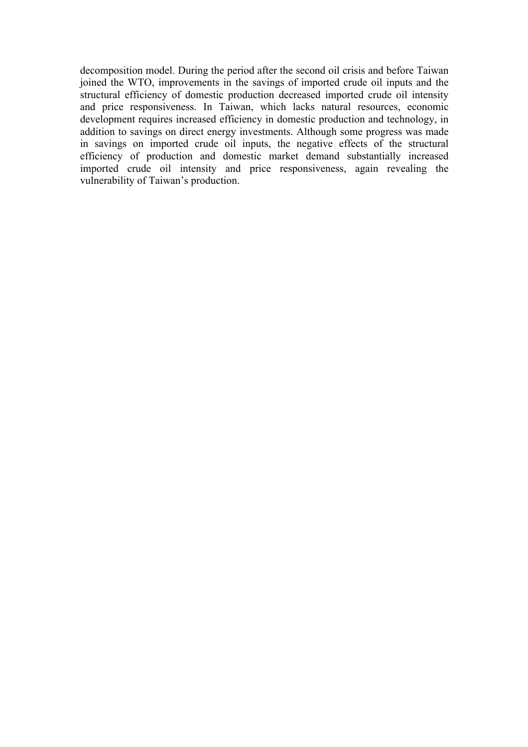decomposition model. During the period after the second oil crisis and before Taiwan joined the WTO, improvements in the savings of imported crude oil inputs and the structural efficiency of domestic production decreased imported crude oil intensity and price responsiveness. In Taiwan, which lacks natural resources, economic development requires increased efficiency in domestic production and technology, in addition to savings on direct energy investments. Although some progress was made in savings on imported crude oil inputs, the negative effects of the structural efficiency of production and domestic market demand substantially increased imported crude oil intensity and price responsiveness, again revealing the vulnerability of Taiwan's production.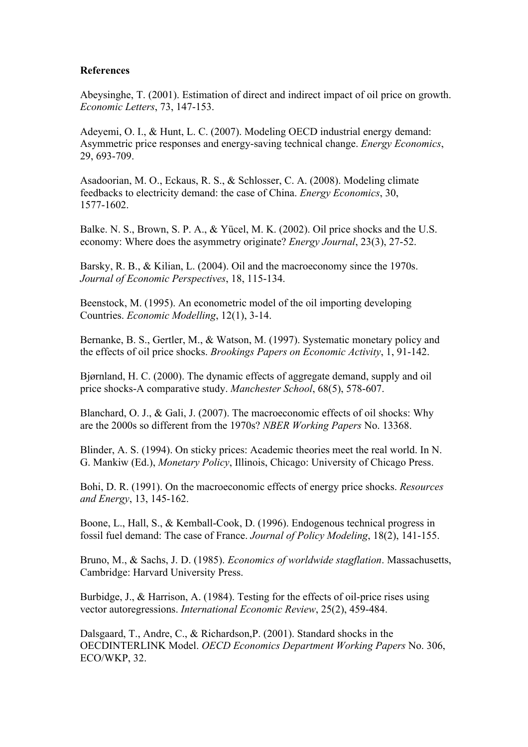#### **References**

Abeysinghe, T. (2001). Estimation of direct and indirect impact of oil price on growth. *Economic Letters*, 73, 147-153.

Adeyemi, O. I., & Hunt, L. C. (2007). Modeling OECD industrial energy demand: Asymmetric price responses and energy-saving technical change. *Energy Economics*, 29, 693-709.

Asadoorian, M. O., Eckaus, R. S., & Schlosser, C. A. (2008). Modeling climate feedbacks to electricity demand: the case of China. *Energy Economics*, 30, 1577-1602.

Balke. N. S., Brown, S. P. A., & Yücel, M. K. (2002). Oil price shocks and the U.S. economy: Where does the asymmetry originate? *Energy Journal*, 23(3), 27-52.

Barsky, R. B., & Kilian, L. (2004). Oil and the macroeconomy since the 1970s. *Journal of Economic Perspectives*, 18, 115-134.

Beenstock, M. (1995). An econometric model of the oil importing developing Countries. *Economic Modelling*, 12(1), 3-14.

Bernanke, B. S., Gertler, M., & Watson, M. (1997). Systematic monetary policy and the effects of oil price shocks. *Brookings Papers on Economic Activity*, 1, 91-142.

Bjørnland, H. C. (2000). The dynamic effects of aggregate demand, supply and oil price shocks-A comparative study. *Manchester School*, 68(5), 578-607.

Blanchard, O. J., & Gali, J. (2007). The macroeconomic effects of oil shocks: Why are the 2000s so different from the 1970s? *NBER Working Papers* No. 13368.

Blinder, A. S. (1994). On sticky prices: Academic theories meet the real world. In N. G. Mankiw (Ed.), *Monetary Policy*, Illinois, Chicago: University of Chicago Press.

Bohi, D. R. (1991). On the macroeconomic effects of energy price shocks. *Resources and Energy*, 13, 145-162.

Boone, L., Hall, S., & Kemball-Cook, D. (1996). Endogenous technical progress in fossil fuel demand: The case of France. *Journal of Policy Modeling*, 18(2), 141-155.

Bruno, M., & Sachs, J. D. (1985). *Economics of worldwide stagflation*. Massachusetts, Cambridge: Harvard University Press.

Burbidge, J., & Harrison, A. (1984). Testing for the effects of oil-price rises using vector autoregressions. *International Economic Review*, 25(2), 459-484.

Dalsgaard, T., Andre, C., & Richardson,P. (2001). Standard shocks in the OECDINTERLINK Model. *OECD Economics Department Working Papers* No. 306, ECO/WKP, 32.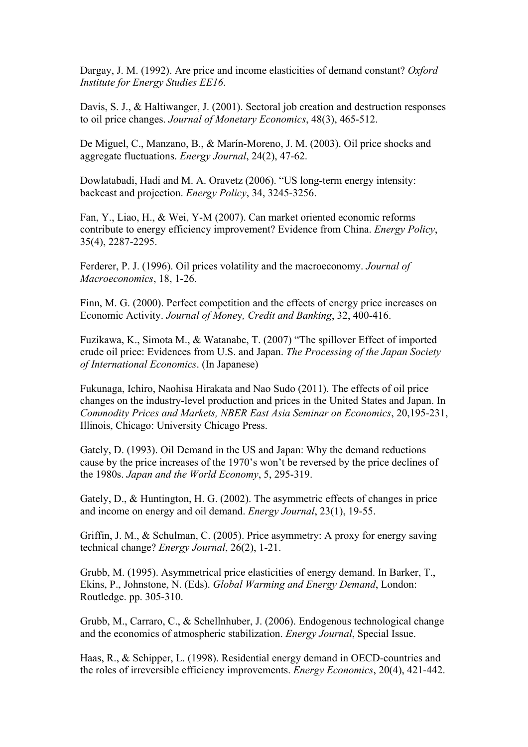Dargay, J. M. (1992). Are price and income elasticities of demand constant? *Oxford Institute for Energy Studies EE16*.

Davis, S. J., & Haltiwanger, J. (2001). Sectoral job creation and destruction responses to oil price changes. *Journal of Monetary Economics*, 48(3), 465-512.

De Miguel, C., Manzano, B., & Marín-Moreno, J. M. (2003). Oil price shocks and aggregate fluctuations. *Energy Journal*, 24(2), 47-62.

Dowlatabadi, Hadi and M. A. Oravetz (2006). "US long-term energy intensity: backcast and projection. *Energy Policy*, 34, 3245-3256.

Fan, Y., Liao, H., & Wei, Y-M (2007). Can market oriented economic reforms contribute to energy efficiency improvement? Evidence from China. *Energy Policy*, 35(4), 2287-2295.

Ferderer, P. J. (1996). Oil prices volatility and the macroeconomy. *Journal of Macroeconomics*, 18, 1-26.

Finn, M. G. (2000). Perfect competition and the effects of energy price increases on Economic Activity. *Journal of Mone*y*, Credit and Banking*, 32, 400-416.

Fuzikawa, K., Simota M., & Watanabe, T. (2007) "The spillover Effect of imported crude oil price: Evidences from U.S. and Japan. *The Processing of the Japan Society of International Economics*. (In Japanese)

Fukunaga, Ichiro, Naohisa Hirakata and Nao Sudo (2011). The effects of oil price changes on the industry-level production and prices in the United States and Japan. In *Commodity Prices and Markets, NBER East Asia Seminar on Economics*, 20,195-231, Illinois, Chicago: University Chicago Press.

Gately, D. (1993). Oil Demand in the US and Japan: Why the demand reductions cause by the price increases of the 1970's won't be reversed by the price declines of the 1980s. *Japan and the World Economy*, 5, 295-319.

Gately, D., & Huntington, H. G. (2002). The asymmetric effects of changes in price and income on energy and oil demand. *Energy Journal*, 23(1), 19-55.

Griffin, J. M., & Schulman, C. (2005). Price asymmetry: A proxy for energy saving technical change? *Energy Journal*, 26(2), 1-21.

Grubb, M. (1995). Asymmetrical price elasticities of energy demand. In Barker, T., Ekins, P., Johnstone, N. (Eds). *Global Warming and Energy Demand*, London: Routledge. pp. 305-310.

Grubb, M., Carraro, C., & Schellnhuber, J. (2006). Endogenous technological change and the economics of atmospheric stabilization. *Energy Journal*, Special Issue.

Haas, R., & Schipper, L. (1998). Residential energy demand in OECD-countries and the roles of irreversible efficiency improvements. *Energy Economics*, 20(4), 421-442.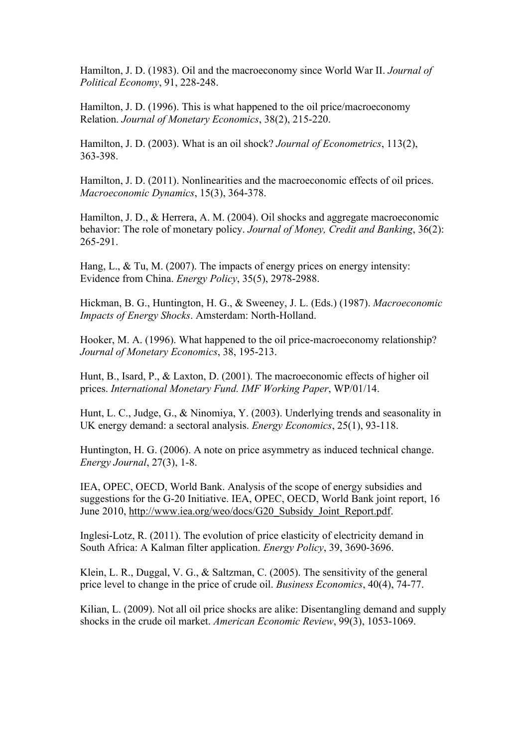Hamilton, J. D. (1983). Oil and the macroeconomy since World War II. *Journal of Political Economy*, 91, 228-248.

Hamilton, J. D. (1996). This is what happened to the oil price/macroeconomy Relation. *Journal of Monetary Economics*, 38(2), 215-220.

Hamilton, J. D. (2003). What is an oil shock? *Journal of Econometrics*, 113(2), 363-398.

Hamilton, J. D. (2011). Nonlinearities and the macroeconomic effects of oil prices. *Macroeconomic Dynamics*, 15(3), 364-378.

Hamilton, J. D., & Herrera, A. M. (2004). Oil shocks and aggregate macroeconomic behavior: The role of monetary policy. *Journal of Money, Credit and Banking*, 36(2): 265-291.

Hang, L., & Tu, M. (2007). The impacts of energy prices on energy intensity: Evidence from China. *Energy Policy*, 35(5), 2978-2988.

Hickman, B. G., Huntington, H. G., & Sweeney, J. L. (Eds.) (1987). *Macroeconomic Impacts of Energy Shocks*. Amsterdam: North-Holland.

Hooker, M. A. (1996). What happened to the oil price-macroeconomy relationship? *Journal of Monetary Economics*, 38, 195-213.

Hunt, B., Isard, P., & Laxton, D. (2001). The macroeconomic effects of higher oil prices. *International Monetary Fund. IMF Working Paper*, WP/01/14.

Hunt, L. C., Judge, G., & Ninomiya, Y. (2003). Underlying trends and seasonality in UK energy demand: a sectoral analysis. *Energy Economics*, 25(1), 93-118.

Huntington, H. G. (2006). A note on price asymmetry as induced technical change. *Energy Journal*, 27(3), 1-8.

IEA, OPEC, OECD, World Bank. Analysis of the scope of energy subsidies and suggestions for the G-20 Initiative. IEA, OPEC, OECD, World Bank joint report, 16 June 2010, http://www.iea.org/weo/docs/G20\_Subsidy\_Joint\_Report.pdf.

Inglesi-Lotz, R. (2011). The evolution of price elasticity of electricity demand in South Africa: A Kalman filter application. *Energy Policy*, 39, 3690-3696.

Klein, L. R., Duggal, V. G., & Saltzman, C. (2005). The sensitivity of the general price level to change in the price of crude oil. *Business Economics*, 40(4), 74-77.

Kilian, L. (2009). Not all oil price shocks are alike: Disentangling demand and supply shocks in the crude oil market. *American Economic Review*, 99(3), 1053-1069.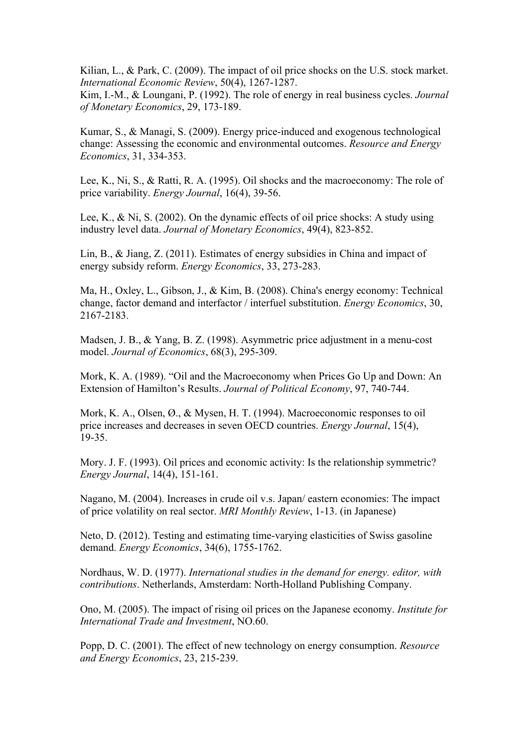Kilian, L., & Park, C. (2009). The impact of oil price shocks on the U.S. stock market. *International Economic Review*, 50(4), 1267-1287.

Kim, I.-M., & Loungani, P. (1992). The role of energy in real business cycles. *Journal of Monetary Economics*, 29, 173-189.

Kumar, S., & Managi, S. (2009). Energy price-induced and exogenous technological change: Assessing the economic and environmental outcomes. *Resource and Energy Economics*, 31, 334-353.

Lee, K., Ni, S., & Ratti, R. A. (1995). Oil shocks and the macroeconomy: The role of price variability. *Energy Journal*, 16(4), 39-56.

Lee, K., & Ni, S. (2002). On the dynamic effects of oil price shocks: A study using industry level data. *Journal of Monetary Economics*, 49(4), 823-852.

Lin, B., & Jiang, Z. (2011). Estimates of energy subsidies in China and impact of energy subsidy reform. *Energy Economics*, 33, 273-283.

Ma, H., Oxley, L., Gibson, J., & Kim, B. (2008). China's energy economy: Technical change, factor demand and interfactor / interfuel substitution. *Energy Economics*, 30, 2167-2183.

Madsen, J. B., & Yang, B. Z. (1998). Asymmetric price adjustment in a menu-cost model. *Journal of Economics*, 68(3), 295-309.

Mork, K. A. (1989). "Oil and the Macroeconomy when Prices Go Up and Down: An Extension of Hamilton's Results. *Journal of Political Economy*, 97, 740-744.

Mork, K. A., Olsen, Ø., & Mysen, H. T. (1994). Macroeconomic responses to oil price increases and decreases in seven OECD countries. *Energy Journal*, 15(4), 19-35.

Mory. J. F. (1993). Oil prices and economic activity: Is the relationship symmetric? *Energy Journal*, 14(4), 151-161.

Nagano, M. (2004). Increases in crude oil v.s. Japan/ eastern economies: The impact of price volatility on real sector. *MRI Monthly Review*, 1-13. (in Japanese)

Neto, D. (2012). Testing and estimating time-varying elasticities of Swiss gasoline demand. *Energy Economics*, 34(6), 1755-1762.

Nordhaus, W. D. (1977). *International studies in the demand for energy. editor, with contributions*. Netherlands, Amsterdam: North-Holland Publishing Company.

Ono, M. (2005). The impact of rising oil prices on the Japanese economy. *Institute for International Trade and Investment*, NO.60.

Popp, D. C. (2001). The effect of new technology on energy consumption. *Resource and Energy Economics*, 23, 215-239.